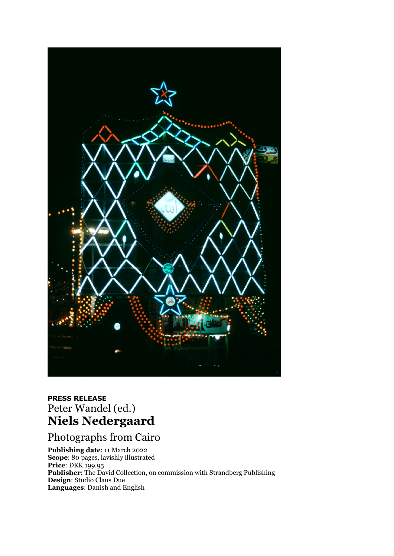

## **PRESS RELEASE** Peter Wandel (ed.) **Niels Nedergaard**

Photographs from Cairo

**Publishing date**: 11 March 2022 **Scope**: 80 pages, lavishly illustrated **Price**: DKK 199.95 **Publisher**: The David Collection, on commission with Strandberg Publishing **Design**: Studio Claus Due **Languages**: Danish and English